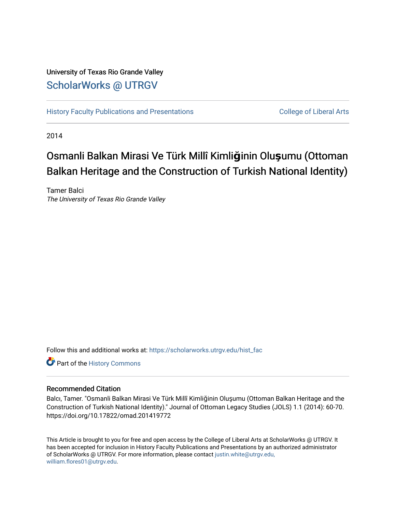# University of Texas Rio Grande Valley [ScholarWorks @ UTRGV](https://scholarworks.utrgv.edu/)

[History Faculty Publications and Presentations](https://scholarworks.utrgv.edu/hist_fac) **COLLEGE 12 College of Liberal Arts** 

2014

# Osmanli Balkan Mirasi Ve Türk Millî Kimliğinin Olu şumu (Ottoman Balkan Heritage and the Construction of Turkish National Identity)

Tamer Balci The University of Texas Rio Grande Valley

Follow this and additional works at: [https://scholarworks.utrgv.edu/hist\\_fac](https://scholarworks.utrgv.edu/hist_fac?utm_source=scholarworks.utrgv.edu%2Fhist_fac%2F94&utm_medium=PDF&utm_campaign=PDFCoverPages) 

Part of the [History Commons](http://network.bepress.com/hgg/discipline/489?utm_source=scholarworks.utrgv.edu%2Fhist_fac%2F94&utm_medium=PDF&utm_campaign=PDFCoverPages) 

#### Recommended Citation

Balcı, Tamer. "Osmanli Balkan Mirasi Ve Türk Millî Kimliğinin Oluşumu (Ottoman Balkan Heritage and the Construction of Turkish National Identity)." Journal of Ottoman Legacy Studies (JOLS) 1.1 (2014): 60-70. https://doi.org/10.17822/omad.201419772

This Article is brought to you for free and open access by the College of Liberal Arts at ScholarWorks @ UTRGV. It has been accepted for inclusion in History Faculty Publications and Presentations by an authorized administrator of ScholarWorks @ UTRGV. For more information, please contact [justin.white@utrgv.edu,](mailto:justin.white@utrgv.edu,%20william.flores01@utrgv.edu) [william.flores01@utrgv.edu](mailto:justin.white@utrgv.edu,%20william.flores01@utrgv.edu).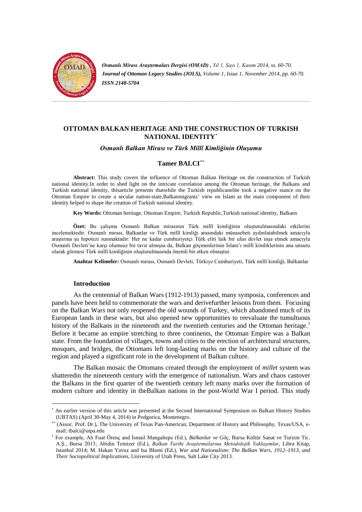

*Osmanlı Mirası Araştırmaları Dergisi (OMAD) , Yıl 1, Sayı 1, Kasım 2014, ss. 60-70. Journal of Ottoman Legacy Studies (JOLS), Volume 1, Issue 1, November 2014, pp. 60-70. ISSN 2148-5704*

# **OTTOMAN BALKAN HERITAGE AND THE CONSTRUCTION OF TURKISH NATIONAL IDENTITY**[∗](#page-1-0)

#### *Osmanlı Balkan Mirası ve Türk Millî Kimliğinin Oluşumu*

#### **Tamer BALCI**[∗∗](#page-1-1)

**Abstract:** This study covers the influence of Ottoman Balkan Heritage on the construction of Turkish national identity.In order to shed light on the intricate correlation among the Ottoman heritage, the Balkans and Turkish national identity, thisarticle presents thatwhile the Turkish republicanelite took a negative stance on the Ottoman Empire to create a secular nation-state,Balkanmigrants' view on Islam as the main component of their identity helped to shape the creation of Turkish national identity.

**Key Words:** Ottoman heritage, Ottoman Empire, Turkish Republic,Turkish national identity, Balkans

**Özet:** Bu çalışma Osmanlı Balkan mirasının Türk millî kimliğinin oluşturulmasındaki etkilerini incelemektedir. Osmanlı mirası, Balkanlar ve Türk millî kimliği arasındaki münasebeti aydınlatabilmek amacıyla araştırma şu hipotezi sunmaktadır: Her ne kadar cumhuriyetçi Türk eliti laik bir ulus devlet inşa etmek amacıyla Osmanlı Devleti'ne karşı olumsuz bir tavır almışsa da, Balkan göçmenlerinin İslam'ı millî kimliklerinin ana unsuru olarak görmesi Türk millî kimliğinin oluşturulmasında önemli bir etken olmuştur.

**Anahtar Kelimeler:** Osmanlı mirası, Osmanlı Devleti, Türkiye Cumhuriyeti, Türk millî kimliği, Balkanlar

#### **Introduction**

As the centennial of Balkan Wars (1912-1913) passed, many symposia, conferences and panels have been held to commemorate the wars and derivefurther lessons from them. Focusing on the Balkan Wars not only reopened the old wounds of Turkey, which abandoned much of its European lands in these wars, but also opened new opportunities to reevaluate the tumultuous history of the Balkans in the nineteenth and the twentieth centuries and the Ottoman heritage.<sup>[1](#page-1-2)</sup> Before it became an empire stretching to three continents, the Ottoman Empire was a Balkan state. From the foundation of villages, towns and cities to the erection of architectural structures, mosques, and bridges, the Ottomans left long-lasting marks on the history and culture of the region and played a significant role in the development of Balkan culture.

The Balkan mosaic the Ottomans created through the employment of *millet* system was shatteredin the nineteenth century with the emergence of nationalism. Wars and chaos castover the Balkans in the first quarter of the twentieth century left many marks over the formation of modern culture and identity in theBalkan nations in the post-World War I period. This study

<span id="page-1-0"></span>An earlier version of this article was presented at the Second International Symposium on Balkan History Studies (UBTAS) (April 30-May 4, 2014) in Podgorica, Montenegro.

<span id="page-1-1"></span><sup>∗∗</sup> (Assoc. Prof. Dr.), The University of Texas Pan-American, Department of History and Philosophy, Texas/USA, email: tbalci@utpa.edu

<span id="page-1-2"></span><sup>1</sup> For example, Ali Fuat Örenç and İsmail Mangaltepe (Ed.), *Balkanlar ve Göç*, Bursa Kültür Sanat ve Turizm Tic. A.Ş., Bursa 2013; Abidin Temizer (Ed.), *Balkan Tarihi Araştırmalarına Metodolojik Yaklaşımlar*, Libra Kitap, Istanbul 2014; M. Hakan Yavuz and Isa Blumi (Ed.), *War and Nationalism: The Balkan Wars, 1912–1913, and Their Sociopolitical Implications*, University of Utah Press, Salt Lake City 2013.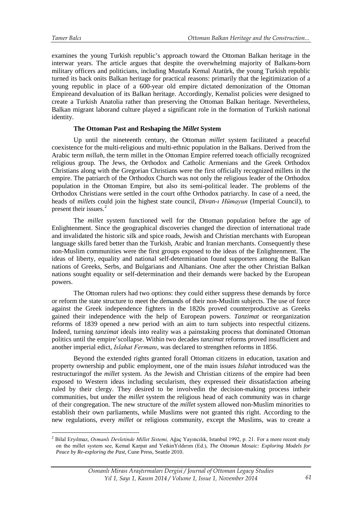<u>.</u>

examines the young Turkish republic's approach toward the Ottoman Balkan heritage in the interwar years. The article argues that despite the overwhelming majority of Balkans-born military officers and politicians, including Mustafa Kemal Atatürk, the young Turkish republic turned its back onits Balkan heritage for practical reasons: primarily that the legitimization of a young republic in place of a 600-year old empire dictated demonization of the Ottoman Empireand devaluation of its Balkan heritage. Accordingly, Kemalist policies were designed to create a Turkish Anatolia rather than preserving the Ottoman Balkan heritage. Nevertheless, Balkan migrant laborand culture played a significant role in the formation of Turkish national identity.

#### **The Ottoman Past and Reshaping the** *Millet* **System**

Up until the nineteenth century, the Ottoman *millet* system facilitated a peaceful coexistence for the multi-religious and multi-ethnic population in the Balkans. Derived from the Arabic term *millah*, the term millet in the Ottoman Empire referred toeach officially recognized religious group. The Jews, the Orthodox and Catholic Armenians and the Greek Orthodox Christians along with the Gregorian Christians were the first officially recognized millets in the empire. The patriarch of the Orthodox Church was not only the religious leader of the Orthodox population in the Ottoman Empire, but also its semi-political leader. The problems of the Orthodox Christians were settled in the court ofthe Orthodox patriarchy. In case of a need, the heads of *millet*s could join the highest state council, *Divan-ı Hümayun* (Imperial Council), to present their issues.<sup>[2](#page-2-0)</sup>

The *millet* system functioned well for the Ottoman population before the age of Enlightenment. Since the geographical discoveries changed the direction of international trade and invalidated the historic silk and spice roads, Jewish and Christian merchants with European language skills fared better than the Turkish, Arabic and Iranian merchants. Consequently these non-Muslim communities were the first groups exposed to the ideas of the Enlightenment. The ideas of liberty, equality and national self-determination found supporters among the Balkan nations of Greeks, Serbs, and Bulgarians and Albanians. One after the other Christian Balkan nations sought equality or self-determination and their demands were backed by the European powers.

The Ottoman rulers had two options: they could either suppress these demands by force or reform the state structure to meet the demands of their non-Muslim subjects. The use of force against the Greek independence fighters in the 1820s proved counterproductive as Greeks gained their independence with the help of European powers. *Tanzimat* or reorganization reforms of 1839 opened a new period with an aim to turn subjects into respectful citizens. Indeed, turning *tanzimat* ideals into reality was a painstaking process that dominated Ottoman politics until the empire'scollapse. Within two decades *tanzimat* reforms proved insufficient and another imperial edict, *Islahat Fermanı*, was declared to strengthen reforms in 1856.

Beyond the extended rights granted forall Ottoman citizens in education, taxation and property ownership and public employment, one of the main issues *Islahat* introduced was the restructuringof the *millet* system. As the Jewish and Christian citizens of the empire had been exposed to Western ideas including secularism, they expressed their dissatisfaction atbeing ruled by their clergy. They desired to be involvedin the decision-making process intheir communities, but under the *millet* system the religious head of each community was in charge of their congregation. The new structure of the *millet* system allowed non-Muslim minorities to establish their own parliaments, while Muslims were not granted this right. According to the new regulations, every *millet* or religious community, except the Muslims, was to create a

<span id="page-2-0"></span><sup>2</sup> Bilal Eryılmaz, *Osmanlı Devletinde Millet Sistemi,* Ağaç Yayıncılık, Istanbul 1992, p. 21. For a more recent study on the millet system see, Kemal Karpat and YetkinYıldırım (Ed.), *The Ottoman Mosaic: Exploring Models for Peace by Re-exploring the Past*, Cune Press, Seattle 2010.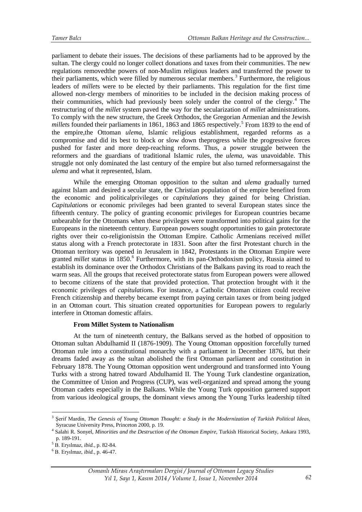parliament to debate their issues. The decisions of these parliaments had to be approved by the sultan. The clergy could no longer collect donations and taxes from their communities. The new regulations removedthe powers of non-Muslim religious leaders and transferred the power to their parliaments, which were filled by numerous secular members.<sup>[3](#page-3-0)</sup> Furthermore, the religious leaders of *millet*s were to be elected by their parliaments. This regulation for the first time allowed non-clergy members of minorities to be included in the decision making process of their communities, which had previously been solely under the control of the clergy. $4$  The restructuring of the *millet* system paved the way for the secularization of *millet* administrations. To comply with the new structure, the Greek Orthodox, the Gregorian Armenian and the Jewish *millets* founded their parliaments in 1861, 1863 and 186[5](#page-3-0) respectively.<sup>5</sup> From 1839 to the end of the empire,the Ottoman *ulema*, Islamic religious establishment, regarded reforms as a compromise and did its best to block or slow down theprogress while the progressive forces pushed for faster and more deep-reaching reforms. Thus, a power struggle between the reformers and the guardians of traditional Islamic rules, the *ulema*, was unavoidable. This struggle not only dominated the last century of the empire but also turned reformersagainst the *ulema* and what it represented, Islam.

While the emerging Ottoman opposition to the sultan and *ulema* gradually turned against Islam and desired a secular state, the Christian population of the empire benefited from the economic and politicalprivileges or *capitulation*s they gained for being Christian. *Capitulation*s or economic privileges had been granted to several European states since the fifteenth century. The policy of granting economic privileges for European countries became unbearable for the Ottomans when these privileges were transformed into political gains for the Europeans in the nineteenth century. European powers sought opportunities to gain protectorate rights over their co-religionistsin the Ottoman Empire. Catholic Armenians received *millet* status along with a French protectorate in 1831. Soon after the first Protestant church in the Ottoman territory was opened in Jerusalem in 1842, Protestants in the Ottoman Empire were granted *millet* status in 1850.<sup>[6](#page-3-0)</sup> Furthermore, with its pan-Orthodoxism policy, Russia aimed to establish its dominance over the Orthodox Christians of the Balkans paving its road to reach the warm seas. All the groups that received protectorate status from European powers were allowed to become citizens of the state that provided protection. That protection brought with it the economic privileges of *capitulation*s. For instance, a Catholic Ottoman citizen could receive French citizenship and thereby became exempt from paying certain taxes or from being judged in an Ottoman court. This situation created opportunities for European powers to regularly interfere in Ottoman domestic affairs.

#### **From Millet System to Nationalism**

At the turn of nineteenth century, the Balkans served as the hotbed of opposition to Ottoman sultan Abdulhamid II (1876-1909). The Young Ottoman opposition forcefully turned Ottoman rule into a constitutional monarchy with a parliament in December 1876, but their dreams faded away as the sultan abolished the first Ottoman parliament and constitution in February 1878. The Young Ottoman opposition went underground and transformed into Young Turks with a strong hatred toward Abdulhamid II. The Young Turk clandestine organization, the Committee of Union and Progress (CUP), was well-organized and spread among the young Ottoman cadets especially in the Balkans. While the Young Turk opposition garnered support from various ideological groups, the dominant views among the Young Turks leadership tilted

<u>.</u>

<span id="page-3-0"></span><sup>3</sup> Şerif Mardin, *The Genesis of Young Ottoman Thought: a Study in the Modernization of Turkish Political Ideas*, Syracuse University Press, Princeton 2000, p. 19.

<sup>4</sup> Salahi R. Sonyel, *Minorities and the Destruction of the Ottoman Empire,* Turkish Historical Society, Ankara 1993, p. 189-191.

<sup>5</sup> B. Eryılmaz, *ibid.,* p. 82-84.

<sup>6</sup> B. Eryılmaz, *ibid.,* p. 46-47.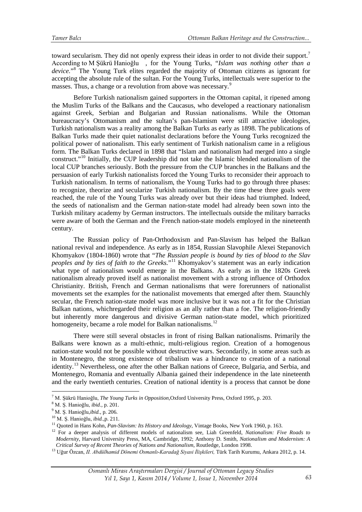toward secularism. They did not openly express their ideas in order to not divide their support.<sup>[7](#page-4-0)</sup> According to M Şükrü Hanioğlu , for the Young Turks, "*Islam was nothing other than a device.*"[8](#page-4-0) The Young Turk elites regarded the majority of Ottoman citizens as ignorant for accepting the absolute rule of the sultan. For the Young Turks, intellectuals were superior to the masses. Thus, a change or a revolution from above was necessary.<sup>[9](#page-4-0)</sup>

Before Turkish nationalism gained supporters in the Ottoman capital, it ripened among the Muslim Turks of the Balkans and the Caucasus, who developed a reactionary nationalism against Greek, Serbian and Bulgarian and Russian nationalisms. While the Ottoman bureaucracy's Ottomanism and the sultan's pan-Islamism were still attractive ideologies, Turkish nationalism was a reality among the Balkan Turks as early as 1898. The publications of Balkan Turks made their quiet nationalist declarations before the Young Turks recognized the political power of nationalism. This early sentiment of Turkish nationalism came in a religious form. The Balkan Turks declared in 1898 that "Islam and nationalism had merged into a single construct."[10](#page-4-0) Initially, the CUP leadership did not take the Islamic blended nationalism of the local CUP branches seriously. Both the pressure from the CUP branches in the Balkans and the persuasion of early Turkish nationalists forced the Young Turks to reconsider their approach to Turkish nationalism. In terms of nationalism, the Young Turks had to go through three phases: to recognize, theorize and secularize Turkish nationalism. By the time these three goals were reached, the rule of the Young Turks was already over but their ideas had triumphed. Indeed, the seeds of nationalism and the German nation-state model had already been sown into the Turkish military academy by German instructors. The intellectuals outside the military barracks were aware of both the German and the French nation-state models employed in the nineteenth century.

The Russian policy of Pan-Orthodoxism and Pan-Slavism has helped the Balkan national revival and independence. As early as in 1854, Russian Slavophile Alexei Stepanovich Khomyakov (1804-1860) wrote that "*The Russian people is bound by ties of blood to the Slav peoples and by ties of faith to the Greeks.*"<sup>[11](#page-4-0)</sup> Khomyakov's statement was an early indication what type of nationalism would emerge in the Balkans. As early as in the 1820s Greek nationalism already proved itself as nationalist movement with a strong influence of Orthodox Christianity. British, French and German nationalisms that were forerunners of nationalist movements set the examples for the nationalist movements that emerged after them. Staunchly secular, the French nation-state model was more inclusive but it was not a fit for the Christian Balkan nations, whichregarded their religion as an ally rather than a foe. The religion-friendly but inherently more dangerous and divisive German nation-state model, which prioritized homogeneity, became a role model for Balkan nationalisms.<sup>[12](#page-4-0)</sup>

There were still several obstacles in front of rising Balkan nationalisms. Primarily the Balkans were known as a multi-ethnic, multi-religious region. Creation of a homogenous nation-state would not be possible without destructive wars. Secondarily, in some areas such as in Montenegro, the strong existence of tribalism was a hindrance to creation of a national identity.<sup>[13](#page-4-0)</sup> Nevertheless, one after the other Balkan nations of Greece, Bulgaria, and Serbia, and Montenegro, Romania and eventually Albania gained their independence in the late nineteenth and the early twentieth centuries. Creation of national identity is a process that cannot be done

<sup>7</sup> M. Şükrü Hanioğlu, *The Young Turks in Opposition,*Oxford University Press, Oxford 1995, p. 203. -

<span id="page-4-0"></span><sup>8</sup> M. Ş. Hanioğlu, *ibid.,* p. 201.

<sup>9</sup> M. Ş. Hanioğlu,*ibid.,* p. 206.

<sup>10</sup> M. Ş. Hanioğlu, *ibid.,*p. 211.

<sup>11</sup> Quoted in Hans Kohn, *Pan-Slavism: Its History and Ideology*, Vintage Books, New York 1960, p. 163.

<sup>12</sup> For a deeper analysis of different models of nationalism see, Liah Greenfeld, *Nationalism: Five Roads to Modernity*, Harvard University Press, MA, Cambridge, 1992; Anthony D. Smith, *Nationalism and Modernism: A Critical Survey of Recent Theories of Nations and Nationalism*, Routledge, London 1998.

<sup>13</sup> Uğur Özcan, *II. Abdülhamid Dönemi Osmanlı-Karadağ Siyasi İlişkileri,* Türk Tarih Kurumu, Ankara 2012, p. 14.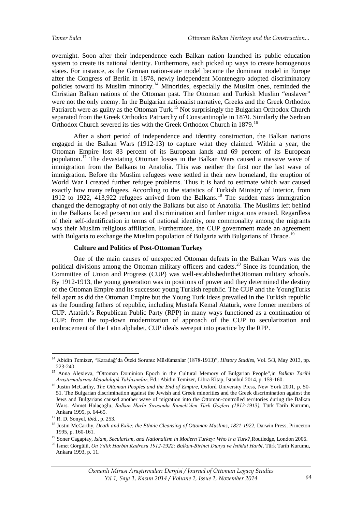overnight. Soon after their independence each Balkan nation launched its public education system to create its national identity. Furthermore, each picked up ways to create homogenous states. For instance, as the German nation-state model became the dominant model in Europe after the Congress of Berlin in 1878, newly independent Montenegro adopted discriminatory policies toward its Muslim minority.<sup>[14](#page-5-0)</sup> Minorities, especially the Muslim ones, reminded the Christian Balkan nations of the Ottoman past. The Ottoman and Turkish Muslim "enslaver" were not the only enemy. In the Bulgarian nationalist narrative, Greeks and the Greek Orthodox Patriarch were as guilty as the Ottoman Turk.<sup>[15](#page-5-0)</sup> Not surprisingly the Bulgarian Orthodox Church separated from the Greek Orthodox Patriarchy of Constantinople in 1870. Similarly the Serbian Orthodox Church severed its ties with the Greek Orthodox Church in 1879.[16](#page-5-0)

After a short period of independence and identity construction, the Balkan nations engaged in the Balkan Wars (1912-13) to capture what they claimed. Within a year, the Ottoman Empire lost 83 percent of its European lands and 69 percent of its European population.[17](#page-5-0) The devastating Ottoman losses in the Balkan Wars caused a massive wave of immigration from the Balkans to Anatolia. This was neither the first nor the last wave of immigration. Before the Muslim refugees were settled in their new homeland, the eruption of World War I created further refugee problems. Thus it is hard to estimate which war caused exactly how many refugees. According to the statistics of Turkish Ministry of Interior, from 1912 to 1922,  $413,922$  refugees arrived from the Balkans.<sup>[18](#page-5-0)</sup> The sudden mass immigration changed the demography of not only the Balkans but also of Anatolia. The Muslims left behind in the Balkans faced persecution and discrimination and further migrations ensued. Regardless of their self-identification in terms of national identity, one commonality among the migrants was their Muslim religious affiliation. Furthermore, the CUP government made an agreement with Bulgaria to exchange the Muslim population of Bulgaria with Bulgarians of Thrace.<sup>[19](#page-5-0)</sup>

# **Culture and Politics of Post-Ottoman Turkey**

One of the main causes of unexpected Ottoman defeats in the Balkan Wars was the political divisions among the Ottoman military officers and cadets.<sup>[20](#page-5-0)</sup> Since its foundation, the Committee of Union and Progress (CUP) was well-establishedintheOttoman military schools. By 1912-1913, the young generation was in positions of power and they determined the destiny of the Ottoman Empire and its successor young Turkish republic. The CUP and the YoungTurks fell apart as did the Ottoman Empire but the Young Turk ideas prevailed in the Turkish republic as the founding fathers of republic, including Mustafa Kemal Atatürk, were former members of CUP. Atatürk's Republican Public Party (RPP) in many ways functioned as a continuation of CUP: from the top-down modernization of approach of the CUP to secularization and embracement of the Latin alphabet, CUP ideals wereput into practice by the RPP.

-

<span id="page-5-0"></span><sup>14</sup> Abidin Temizer, "Karadağ'da Öteki Sorunu: Müslümanlar (1878-1913)", *History Studies*, Vol. 5/3, May 2013, pp. 223-240.

<sup>15</sup> Anna Alexieva, "Ottoman Dominion Epoch in the Cultural Memory of Bulgarian People",in *Balkan Tarihi Araştırmalarına Metodolojik Yaklaşımlar*, Ed.: Abidin Temizer, Libra Kitap, Istanbul 2014, p. 159-160.

<sup>&</sup>lt;sup>16</sup> Justin McCarthy, *The Ottoman Peoples and the End of Empire*, Oxford University Press, New York 2001, p. 50-51. The Bulgarian discrimination against the Jewish and Greek minorities and the Greek discrimination against the Jews and Bulgarians caused another wave of migration into the Ottoman-controlled territories during the Balkan Wars. Ahmet Halaçoğlu, *Balkan Harbi Sırasında Rumeli'den Türk Göçleri (1912-1913),* Türk Tarih Kurumu,

<sup>&</sup>lt;sup>17</sup> R. D. Sonyel, *ibid.*, p. 253.

<sup>18</sup> Justin McCarthy, *Death and Exile: the Ethnic Cleansing of Ottoman Muslims, 1821-1922*, Darwin Press, Princeton 1995, p. 160-161.

<sup>19</sup> Soner Cagaptay, *Islam, Secularism, and Nationalism in Modern Turkey: Who is a Turk?,*Routledge, London 2006.

<sup>20</sup> İsmet Görgülü, *On Yıllık Harbin Kadrosu 1912-1922: Balkan-Birinci Dünya ve İstiklal Harbi*, Türk Tarih Kurumu, Ankara 1993, p. 11.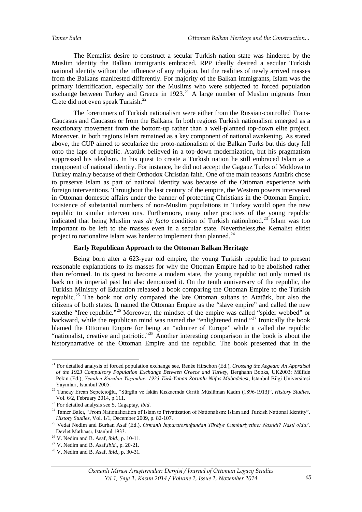The Kemalist desire to construct a secular Turkish nation state was hindered by the Muslim identity the Balkan immigrants embraced. RPP ideally desired a secular Turkish national identity without the influence of any religion, but the realities of newly arrived masses from the Balkans manifested differently. For majority of the Balkan immigrants, Islam was the primary identification, especially for the Muslims who were subjected to forced population exchange between Turkey and Greece in  $1923$ <sup>[21](#page-6-0)</sup> A large number of Muslim migrants from Crete did not even speak Turkish.<sup>[22](#page-6-0)</sup>

The forerunners of Turkish nationalism were either from the Russian-controlled Trans-Caucasus and Caucasus or from the Balkans. In both regions Turkish nationalism emerged as a reactionary movement from the bottom-up rather than a well-planned top-down elite project. Moreover, in both regions Islam remained as a key component of national awakening. As stated above, the CUP aimed to secularize the proto-nationalism of the Balkan Turks but this duty fell onto the laps of republic. Atatürk believed in a top-down modernization, but his pragmatism suppressed his idealism. In his quest to create a Turkish nation he still embraced Islam as a component of national identity. For instance, he did not accept the Gagauz Turks of Moldova to Turkey mainly because of their Orthodox Christian faith. One of the main reasons Atatürk chose to preserve Islam as part of national identity was because of the Ottoman experience with foreign interventions. Throughout the last century of the empire, the Western powers intervened in Ottoman domestic affairs under the banner of protecting Christians in the Ottoman Empire. Existence of substantial numbers of non-Muslim populations in Turkey would open the new republic to similar interventions. Furthermore, many other practices of the young republic indicated that being Muslim was *de facto* condition of Turkish nationhood.<sup>[23](#page-6-0)</sup> Islam was too important to be left to the masses even in a secular state. Nevertheless,the Kemalist elitist project to nationalize Islam was harder to implement than planned. $^{24}$  $^{24}$  $^{24}$ 

# **Early Republican Approach to the Ottoman Balkan Heritage**

Being born after a 623-year old empire, the young Turkish republic had to present reasonable explanations to its masses for why the Ottoman Empire had to be abolished rather than reformed. In its quest to become a modern state, the young republic not only turned its back on its imperial past but also demonized it. On the tenth anniversary of the republic, the Turkish Ministry of Education released a book comparing the Ottoman Empire to the Turkish republic.<sup>[25](#page-6-0)</sup> The book not only compared the late Ottoman sultans to Atatürk, but also the citizens of both states. It named the Ottoman Empire as the "slave empire" and called the new statethe "free republic."<sup>[26](#page-6-0)</sup> Moreover, the mindset of the empire was called "spider webbed" or backward, while the republican mind was named the "enlightened mind."[27](#page-6-0) Ironically the book blamed the Ottoman Empire for being an "admirer of Europe" while it called the republic "nationalist, creative and patriotic."[28](#page-6-0) Another interesting comparison in the book is about the historynarrative of the Ottoman Empire and the republic. The book presented that in the

-

<span id="page-6-0"></span><sup>21</sup> For detailed analysis of forced population exchange see, Renée Hirschon (Ed.), *Crossing the Aegean: An Appraisal of the 1923 Compulsory Population Exchange Between Greece and Turkey*, Berghahn Books, UK2003; Müfide Pekin (Ed.), *Yeniden Kurulan Yaşamlar: 1923 Türk-Yunan Zorunlu Nüfus Mübadelesi*, İstanbul Bilgi Üniversitesi Yayınları, Istanbul 2005.

<sup>22</sup> Tuncay Ercan Sepetcioğlu, "Sürgün ve İskân Kıskacında Giritli Müslüman Kadın (1896-1913)", *History Studies*, Vol. 6/2, February 2014, p.111.<br><sup>23</sup> For detailed analysis see S. Cagaptay, *ibid.* 

<sup>&</sup>lt;sup>24</sup> Tamer Balcı, "From Nationalization of Islam to Privatization of Nationalism: Islam and Turkish National Identity", *History Studies*, Vol. 1/1, December 2009, p. 82-107.

<sup>&</sup>lt;sup>25</sup> Vedat Nedim and Burhan Asaf (Ed.), *Osmanlı İmparatorluğundan Türkiye Cumhuriyetine: Nasıldı? Nasıl oldu?*, Devlet Matbaası, Istanbul 1933.

<sup>26</sup> V. Nedim and B. Asaf, *ibid.,* p. 10-11.

<sup>27</sup> V. Nedim and B. Asaf,*ibid.,* p. 20-21.

<sup>28</sup> V. Nedim and B. Asaf, *ibid.,* p. 30-31.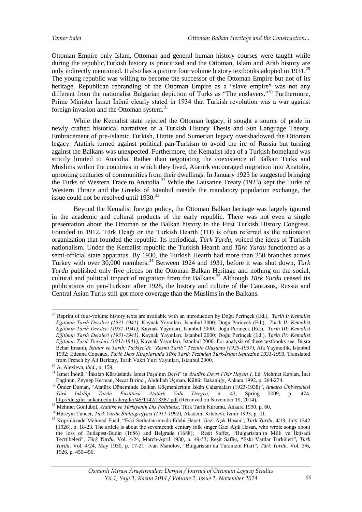Ottoman Empire only Islam, Ottoman and general human history courses were taught while during the republic,Turkish history is prioritized and the Ottoman, Islam and Arab history are only indirectly mentioned. It also has a picture four volume history textbooks adopted in 1931.<sup>[29](#page-7-0)</sup> The young republic was willing to become the successor of the Ottoman Empire but not of its heritage. Republican rebranding of the Ottoman Empire as a "slave empire" was not any different from the nationalist Bulgarian depiction of Turks as "The enslavers."<sup>[30](#page-7-0)</sup> Furthermore, Prime Minister İsmet İnönü clearly stated in 1934 that Turkish revolution was a war against foreign invasion and the Ottoman system.<sup>[31](#page-7-0)</sup>

While the Kemalist state rejected the Ottoman legacy, it sought a source of pride in newly crafted historical narratives of a Turkish History Thesis and Sun Language Theory. Embracement of pre-Islamic Turkish, Hittite and Sumerian legacy overshadowed the Ottoman legacy. Atatürk turned against political pan-Turkism to avoid the ire of Russia but turning against the Balkans was unexpected. Furthermore, the Kemalist idea of a Turkish homeland was strictly limited to Anatolia. Rather than negotiating the coexistence of Balkan Turks and Muslims within the countries in which they lived, Atatürk encouraged migration into Anatolia, uprooting centuries of communities from their dwellings. In January 1923 he suggested bringing the Turks of Western Trace to Anatolia.<sup>[32](#page-7-0)</sup> While the Lausanne Treaty (1923) kept the Turks of Western Thrace and the Greeks of Istanbul outside the mandatory population exchange, the issue could not be resolved until  $1930.<sup>33</sup>$  $1930.<sup>33</sup>$  $1930.<sup>33</sup>$ 

Beyond the Kemalist foreign policy, the Ottoman Balkan heritage was largely ignored in the academic and cultural products of the early republic. There was not even a single presentation about the Ottoman or the Balkan history in the First Turkish History Congress. Founded in 1912, Türk Ocağı or the Turkish Hearth (TH) is often referred as the nationalist organization that founded the republic. Its periodical, *Türk Yurdu*, voiced the ideas of Turkish nationalism. Under the Kemalist republic the Turkish Hearth and *Türk Yurdu* functioned as a semi-official state apparatus. By 1930, the Turkish Hearth had more than 250 branches across Turkey with over 30,000 members.<sup>[34](#page-7-0)</sup> Between 1924 and 1931, before it was shut down, *Türk Yurdu* published only five pieces on the Ottoman Balkan Heritage and nothing on the social, cultural and political impact of migration from the Balkans.<sup>35</sup> Although *Türk Yurdu* ceased its publications on pan-Turkism after 1928, the history and culture of the Caucasus, Russia and Central Asian Turks still got more coverage than the Muslims in the Balkans.

<span id="page-7-0"></span><sup>29</sup> Reprint of four-volume history texts are available with an introduction by Doğu Perinçek (Ed.), *Tarih I: Kemalist Eğitimin Tarih Dersleri (1931-1941),* Kaynak Yayınları, Istanbul 2000; Doğu Perinçek (Ed.), *Tarih II: Kemalist Eğitimin Tarih Dersleri (1931-1941)*, Kaynak Yayınları, Istanbul 2000; Doğu Perinçek (Ed.), *Tarih III: Kemalist Eğitimin Tarih Dersleri (1931-1941),* Kaynak Yayınları, Istanbul 2000; Doğu Perinçek (Ed.), *Tarih IV: Kemalist Eğitimin Tarih Dersleri (1931-1941),* Kaynak Yayınları, Istanbul 2000. For analysis of these textbooks see, Büşra Behar Ersanlı, *İktidar ve Tarih: Türkiye'de "Resmi Tarih" Tezinin Oluşumu (1929-1937)*, Afa Yayıncılık, Istanbul 1992; Etienne Copeaux, *Tarih Ders Kitaplarında Türk Tarih Tezinden Türk-İslam Sentezine 1931-1993,* Translated from French by Ali Berktay, Tarih Vakfı Yurt Yayınları, Istanbul 2000. -

<sup>30</sup> A. Alexieva, *ibid.,* p. 159.

<sup>31</sup> İsmet İnönü, "İnkılap Kürsüsünde İsmet Paşa'nın Dersi" in *Atatürk Devri Fikir Hayatı I*, Ed. Mehmet Kaplan, İnci Enginün, Zeynep Kerman, Necat Birinci, Abdullah Uçman, Kültür Bakanlığı, Ankara 1992, p. 264-274.

<sup>32</sup> Önder Duman, "Atatürk Döneminde Balkan Göçmenlerinin İskân Çalışmaları (1923-1938)", *Ankara Üniversitesi Türk İnkılâp Tarihi Enstitüsü Atatürk Yolu Dergisi*, n. 43, Spring 2009, p. 474. <http://dergiler.ankara.edu.tr/dergiler/45/1142/13387.pdf> (Retrieved on November 19, 2014).

<sup>33</sup> Mehmet Gönlübol, *Atatürk ve Türkiyenin Dış Politikası*, Türk Tarih Kurumu, Ankara 1990, p. 60.

<sup>34</sup> Hüseyin Tuncer, *Türk Yurdu Bibliografyası (1911-1992),* Akademi Kitabevi, İzmir 1993, p. III.

<sup>35</sup> Köprülüzade Mehmed Fuad, "Eski Serhatlarımızda Edebi Hayat: Gazi Aşık Hasan", *Türk Yurdu*, 4/19, July 1342 [1926], p. 18-23. The article is about the seventeenth century folk singer Gazi Aşık Hasan, who wrote songs about the loss of Budapest-Budin (1686) and Belgrade (1688); Reşit Saffet, "Bulgaristan'ın Milli ve İktisadi Tecrübeleri", *Türk Yurdu*, Vol. 4/24, March-April 1930, p. 49-53; Reşit Saffet, "Eski Vardar Türküleri", *Türk Yurdu*, Vol. 4/24, May 1930, p. 17-21; Ivan Manolov, "Bulgaristan'da Turanizm Fikri", *Türk Yurdu*, Vol. 3/6, 1926, p. 450-456.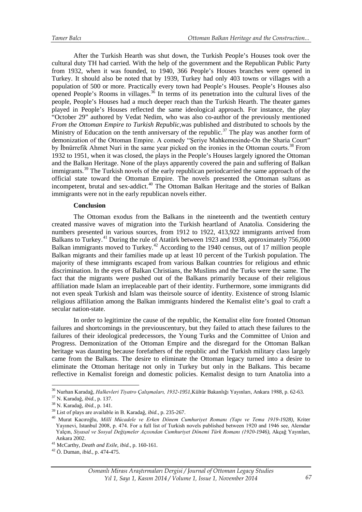After the Turkish Hearth was shut down, the Turkish People's Houses took over the cultural duty TH had carried. With the help of the government and the Republican Public Party from 1932, when it was founded, to 1940, 366 People's Houses branches were opened in Turkey. It should also be noted that by 1939, Turkey had only 403 towns or villages with a population of 500 or more. Practically every town had People's Houses. People's Houses also opened People's Rooms in villages. $36$  In terms of its penetration into the cultural lives of the people, People's Houses had a much deeper reach than the Turkish Hearth. The theater games played in People's Houses reflected the same ideological approach. For instance, the play "October 29" authored by Vedat Nedim, who was also co-author of the previously mentioned *From the Ottoman Empire to Turkish Republic*,was published and distributed to schools by the Ministry of Education on the tenth anniversary of the republic.<sup>[37](#page-8-0)</sup> The play was another form of demonization of the Ottoman Empire. A comedy "Şeriye Mahkemesinde-On the Sharia Court" by Ibnürrefik Ahmet Nuri in the same year picked on the ironies in the Ottoman courts.<sup>[38](#page-8-0)</sup> From 1932 to 1951, when it was closed, the plays in the People's Houses largely ignored the Ottoman and the Balkan Heritage. None of the plays apparently covered the pain and suffering of Balkan immigrants.<sup>[39](#page-8-0)</sup> The Turkish novels of the early republican periodcarried the same approach of the official state toward the Ottoman Empire. The novels presented the Ottoman sultans as incompetent, brutal and sex-addict.<sup>[40](#page-8-0)</sup> The Ottoman Balkan Heritage and the stories of Balkan immigrants were not in the early republican novels either.

#### **Conclusion**

The Ottoman exodus from the Balkans in the nineteenth and the twentieth century created massive waves of migration into the Turkish heartland of Anatolia. Considering the numbers presented in various sources, from 1912 to 1922, 413,922 immigrants arrived from Balkans to Turkey.<sup>41</sup> During the rule of Atatürk between 1923 and 1938, approximately 756,000 Balkan immigrants moved to Turkey.<sup>[42](#page-8-0)</sup> According to the 1940 census, out of 17 million people Balkan migrants and their families made up at least 10 percent of the Turkish population. The majority of these immigrants escaped from various Balkan countries for religious and ethnic discrimination. In the eyes of Balkan Christians, the Muslims and the Turks were the same. The fact that the migrants were pushed out of the Balkans primarily because of their religious affiliation made Islam an irreplaceable part of their identity. Furthermore, some immigrants did not even speak Turkish and Islam was theirsole source of identity. Existence of strong Islamic religious affiliation among the Balkan immigrants hindered the Kemalist elite's goal to craft a secular nation-state.

In order to legitimize the cause of the republic, the Kemalist elite fore fronted Ottoman failures and shortcomings in the previouscentury, but they failed to attach these failures to the failures of their ideological predecessors, the Young Turks and the Committee of Union and Progress. Demonization of the Ottoman Empire and the disregard for the Ottoman Balkan heritage was daunting because forefathers of the republic and the Turkish military class largely came from the Balkans. The desire to eliminate the Ottoman legacy turned into a desire to eliminate the Ottoman heritage not only in Turkey but only in the Balkans. This became reflective in Kemalist foreign and domestic policies. Kemalist design to turn Anatolia into a

-

<span id="page-8-0"></span><sup>36</sup> Nurhan Karadağ, *Halkevleri Tiyatro Çalışmaları, 1932-1951,*Kültür Bakanlığı Yayınları, Ankara 1988, p. 62-63.

<sup>37</sup> N. Karadağ, *ibid.,* p. 137.

<sup>38</sup> N. Karadağ, *ibid.,* p. 141.

<sup>39</sup> List of plays are available in B. Karadağ, *ibid.,* p. 235-267.

<sup>40</sup> Murat Kacıroğlu, *Millî Mücadele ve Erken Dönem Cumhuriyet Romanı (Yapı ve Tema 1919-1928),* Kriter Yayınevi, Istanbul 2008, p. 474. For a full list of Turkish novels published between 1920 and 1946 see, Alemdar Yalçın, *Siyasal ve Sosyal Değişmeler Açısından Cumhuriyet Dönemi Türk Romanı (1920-1946),* Akçağ Yayınları, Ankara 2002.

<sup>41</sup> McCarthy, *Death and Exile*, *ibid.,* p. 160-161.

<sup>42</sup> Ö. Duman, *ibid.,* p. 474-475.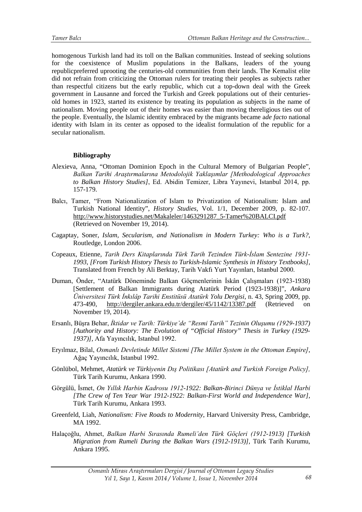homogenous Turkish land had its toll on the Balkan communities. Instead of seeking solutions for the coexistence of Muslim populations in the Balkans, leaders of the young republicpreferred uprooting the centuries-old communities from their lands. The Kemalist elite did not refrain from criticizing the Ottoman rulers for treating their peoples as subjects rather than respectful citizens but the early republic, which cut a top-down deal with the Greek government in Lausanne and forced the Turkish and Greek populations out of their centuriesold homes in 1923, started its existence by treating its population as subjects in the name of nationalism. Moving people out of their homes was easier than moving thereligious ties out of the people. Eventually, the Islamic identity embraced by the migrants became a*de facto* national identity with Islam in its center as opposed to the idealist formulation of the republic for a secular nationalism.

# **Bibliography**

- Alexieva, Anna, "Ottoman Dominion Epoch in the Cultural Memory of Bulgarian People", *Balkan Tarihi Araştırmalarına Metodolojik Yaklaşımlar [Methodological Approaches to Balkan History Studies]*, Ed. Abidin Temizer, Libra Yayınevi, Istanbul 2014, pp. 157-179.
- Balcı, Tamer, "From Nationalization of Islam to Privatization of Nationalism: Islam and Turkish National Identity", *History Studies,* Vol. [1/1, December 2009, p. 82-107.](http://www.historystudies.net/DergiTamDetay.aspx?ID=10&Detay=Ozet) [http://www.historystudies.net/Makaleler/1463291287\\_5-Tamer%20BALCI.pdf](http://www.historystudies.net/Makaleler/1463291287_5-Tamer%20BALCI.pdf) (Retrieved on November 19, 2014).
- Cagaptay, Soner, *Islam, Secularism, and Nationalism in Modern Turkey: Who is a Turk?,*  Routledge, London 2006.
- Copeaux, Etienne, *Tarih Ders Kitaplarında Türk Tarih Tezinden Türk-İslam Sentezine 1931- 1993, [From Turkish History Thesis to Turkish-Islamic Synthesis in History Textbooks],* Translated from French by Ali Berktay, Tarih Vakfı Yurt Yayınları, Istanbul 2000.
- Duman, Önder, "Atatürk Döneminde Balkan Göçmenlerinin İskân Çalışmaları (1923-1938) [Settlement of Balkan Immigrants during Atatürk Period (1923-1938)]", *Ankara Üniversitesi Türk İnkılâp Tarihi Enstitüsü Atatürk Yolu Dergisi*, n. 43, Spring 2009, pp. 473-490, http://dergiler.ankara.edu.tr/dergiler/45/1142/13387.pdf (Retrieved on November 19, 2014).
- Ersanlı, Büşra Behar, *İktidar ve Tarih: Türkiye'de "Resmi Tarih" Tezinin Oluşumu (1929-1937) [Authority and History: The Evolution of "Official History" Thesis in Turkey (1929- 1937)],* Afa Yayıncılık, Istanbul 1992.
- Eryılmaz, Bilal, *Osmanlı Devletinde Millet Sistemi [The Millet System in the Ottoman Empire]*, Ağaç Yayıncılık, Istanbul 1992.
- Gönlübol, Mehmet, *Atatürk ve Türkiyenin Dış Politikası [Atatürk and Turkish Foreign Policy],*  Türk Tarih Kurumu, Ankara 1990.
- Görgülü, İsmet, *On Yıllık Harbin Kadrosu 1912-1922: Balkan-Birinci Dünya ve İstiklal Harbi [The Crew of Ten Year War 1912-1922: Balkan-First World and Independence War],*  Türk Tarih Kurumu, Ankara 1993.
- Greenfeld, Liah, *Nationalism: Five Roads to Modernity*, Harvard University Press, Cambridge, MA 1992.
- Halaçoğlu, Ahmet, *Balkan Harbi Sırasında Rumeli'den Türk Göçleri (1912-1913) [Turkish Migration from Rumeli During the Balkan Wars (1912-1913)],* Türk Tarih Kurumu, Ankara 1995.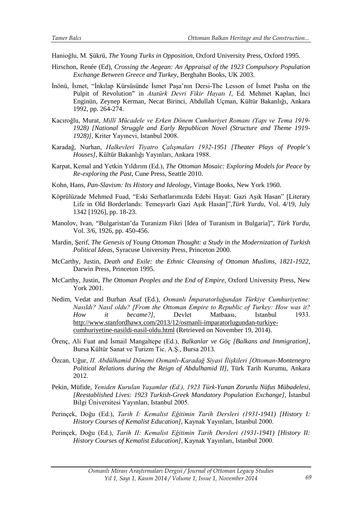Hanioğlu, M. Şükrü, *The Young Turks in Opposition*, Oxford University Press, Oxford 1995.

- Hirschon, Renée (Ed), *Crossing the Aegean: An Appraisal of the 1923 Compulsory Population Exchange Between Greece and Turkey*, Berghahn Books, UK 2003.
- İnönü, İsmet, "İnkılap Kürsüsünde İsmet Paşa'nın Dersi-The Lesson of İsmet Pasha on the Pulpit of Revolution" in *Atatürk Devri Fikir Hayatı I*, Ed. Mehmet Kaplan, İnci Enginün, Zeynep Kerman, Necat Birinci, Abdullah Uçman, Kültür Bakanlığı, Ankara 1992, pp. 264-274.
- Kacıroğlu, Murat, *Millî Mücadele ve Erken Dönem Cumhuriyet Romanı (Yapı ve Tema 1919- 1928) [National Struggle and Early Republican Novel (Structure and Theme 1919- 1928)],* Kriter Yayınevi, Istanbul 2008.
- Karadağ, Nurhan, *Halkevleri Tiyatro Çalışmaları 1932-1951 [Theater Plays of People's Houses],* Kültür Bakanlığı Yayınları, Ankara 1988.
- Karpat, Kemal and Yetkin Yıldırım (Ed.), *The Ottoman Mosaic: Exploring Models for Peace by Re-exploring the Past*, Cune Press, Seattle 2010.
- Kohn, Hans, *Pan-Slavism: Its History and Ideology*, Vintage Books, New York 1960.
- Köprülüzade Mehmed Fuad, "Eski Serhatlarımızda Edebi Hayat: Gazi Aşık Hasan" [Literary Life in Old Borderlands: Temeşvarlı Gazi Aşık Hasan]",*Türk Yurdu*, Vol. 4/19, July 1342 [1926], pp. 18-23.
- Manolov, Ivan, "Bulgaristan'da Turanizm Fikri [Idea of Turanism in Bulgaria]", *Türk Yurdu*, Vol. 3/6, 1926, pp. 450-456.
- Mardin, Şerif, *The Genesis of Young Ottoman Thought: a Study in the Modernization of Turkish Political Ideas*, Syracuse University Press, Princeton 2000.
- McCarthy, Justin, *Death and Exile: the Ethnic Cleansing of Ottoman Muslims, 1821-1922*, Darwin Press, Princeton 1995.
- McCarthy, Justin, *The Ottoman Peoples and the End of Empire*, Oxford University Press, New York 2001.
- Nedim, Vedat and Burhan Asaf (Ed.), *Osmanlı İmparatorluğundan Türkiye Cumhuriyetine: Nasıldı? Nasıl oldu? [From the Ottoman Empire to Republic of Turkey: How was it? How it became?],* Devlet Matbaası, Istanbul 1933. http://www.stanfordhawx.com/2013/12/osmanli-imparatorlugundan-turkiyecumhuriyetine-nasildi-nasil-oldu.html (Retrieved on November 19, 2014).
- Örenç, Ali Fuat and İsmail Mangaltepe (Ed.), *Balkanlar ve Göç [Balkans and Immigration]*, Bursa Kültür Sanat ve Turizm Tic. A.Ş., Bursa 2013.
- Özcan, Uğur, *II. Abdülhamid Dönemi Osmanlı-Karadağ Siyasi İlişkileri [Ottoman-Montenegro Political Relations during the Reign of Abdulhamid II]*, Türk Tarih Kurumu, Ankara 2012.
- Pekin, Müfide, *Yeniden Kurulan Yaşamlar (Ed.), 1923 Türk-Yunan Zorunlu Nüfus Mübadelesi*, *[Reestablished Lives: 1923 Turkish-Greek Mandatory Population Exchange],* İstanbul Bilgi Üniversitesi Yayınları, Istanbul 2005.
- Perinçek, Doğu (Ed.), *Tarih I: Kemalist Eğitimin Tarih Dersleri (1931-1941) [History I: History Courses of Kemalist Education],* Kaynak Yayınları, Istanbul 2000.
- Perinçek, Doğu (Ed.), *Tarih II: Kemalist Eğitimin Tarih Dersleri (1931-1941) [History II: History Courses of Kemalist Education]*, Kaynak Yayınları, Istanbul 2000.